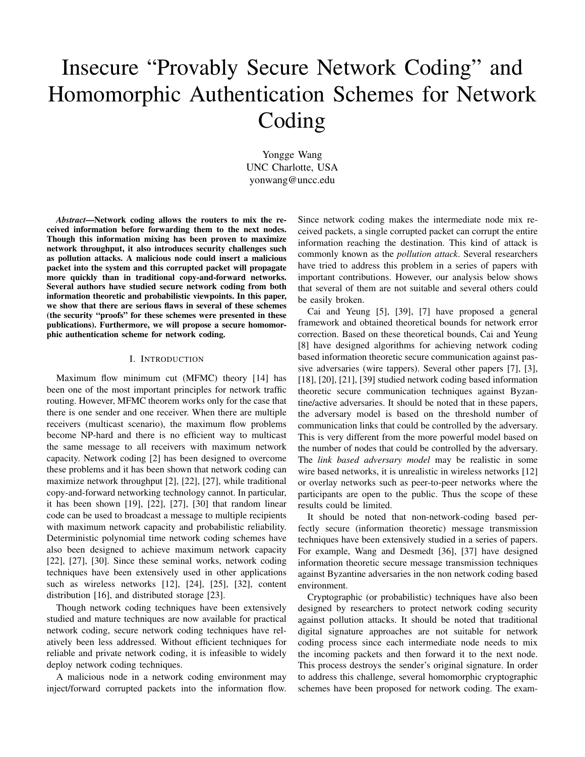# Insecure "Provably Secure Network Coding" and Homomorphic Authentication Schemes for Network Coding

Yongge Wang UNC Charlotte, USA yonwang@uncc.edu

*Abstract*—Network coding allows the routers to mix the received information before forwarding them to the next nodes. Though this information mixing has been proven to maximize network throughput, it also introduces security challenges such as pollution attacks. A malicious node could insert a malicious packet into the system and this corrupted packet will propagate more quickly than in traditional copy-and-forward networks. Several authors have studied secure network coding from both information theoretic and probabilistic viewpoints. In this paper, we show that there are serious flaws in several of these schemes (the security "proofs" for these schemes were presented in these publications). Furthermore, we will propose a secure homomorphic authentication scheme for network coding.

## I. INTRODUCTION

Maximum flow minimum cut (MFMC) theory [14] has been one of the most important principles for network traffic routing. However, MFMC theorem works only for the case that there is one sender and one receiver. When there are multiple receivers (multicast scenario), the maximum flow problems become NP-hard and there is no efficient way to multicast the same message to all receivers with maximum network capacity. Network coding [2] has been designed to overcome these problems and it has been shown that network coding can maximize network throughput [2], [22], [27], while traditional copy-and-forward networking technology cannot. In particular, it has been shown [19], [22], [27], [30] that random linear code can be used to broadcast a message to multiple recipients with maximum network capacity and probabilistic reliability. Deterministic polynomial time network coding schemes have also been designed to achieve maximum network capacity [22], [27], [30]. Since these seminal works, network coding techniques have been extensively used in other applications such as wireless networks [12], [24], [25], [32], content distribution [16], and distributed storage [23].

Though network coding techniques have been extensively studied and mature techniques are now available for practical network coding, secure network coding techniques have relatively been less addressed. Without efficient techniques for reliable and private network coding, it is infeasible to widely deploy network coding techniques.

A malicious node in a network coding environment may inject/forward corrupted packets into the information flow. Since network coding makes the intermediate node mix received packets, a single corrupted packet can corrupt the entire information reaching the destination. This kind of attack is commonly known as the *pollution attack*. Several researchers have tried to address this problem in a series of papers with important contributions. However, our analysis below shows that several of them are not suitable and several others could be easily broken.

Cai and Yeung [5], [39], [7] have proposed a general framework and obtained theoretical bounds for network error correction. Based on these theoretical bounds, Cai and Yeung [8] have designed algorithms for achieving network coding based information theoretic secure communication against passive adversaries (wire tappers). Several other papers [7], [3], [18], [20], [21], [39] studied network coding based information theoretic secure communication techniques against Byzantine/active adversaries. It should be noted that in these papers, the adversary model is based on the threshold number of communication links that could be controlled by the adversary. This is very different from the more powerful model based on the number of nodes that could be controlled by the adversary. The *link based adversary model* may be realistic in some wire based networks, it is unrealistic in wireless networks [12] or overlay networks such as peer-to-peer networks where the participants are open to the public. Thus the scope of these results could be limited.

It should be noted that non-network-coding based perfectly secure (information theoretic) message transmission techniques have been extensively studied in a series of papers. For example, Wang and Desmedt [36], [37] have designed information theoretic secure message transmission techniques against Byzantine adversaries in the non network coding based environment.

Cryptographic (or probabilistic) techniques have also been designed by researchers to protect network coding security against pollution attacks. It should be noted that traditional digital signature approaches are not suitable for network coding process since each intermediate node needs to mix the incoming packets and then forward it to the next node. This process destroys the sender's original signature. In order to address this challenge, several homomorphic cryptographic schemes have been proposed for network coding. The exam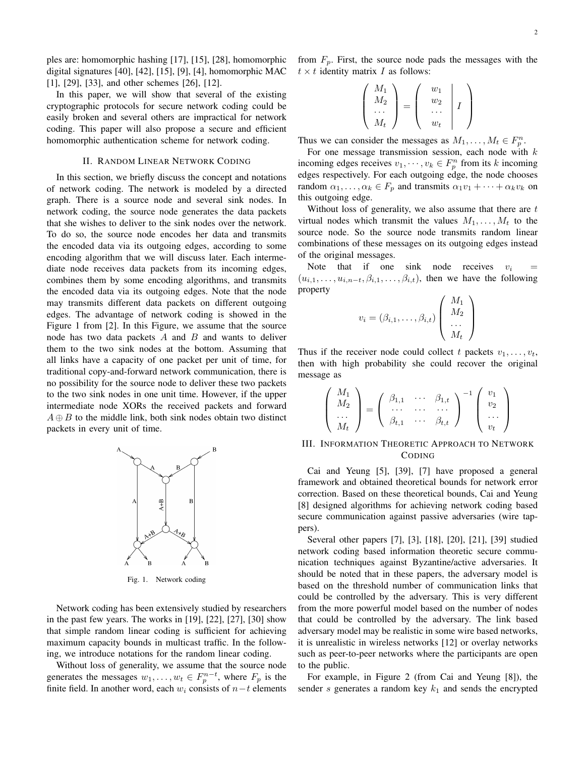ples are: homomorphic hashing [17], [15], [28], homomorphic digital signatures [40], [42], [15], [9], [4], homomorphic MAC [1], [29], [33], and other schemes [26], [12].

In this paper, we will show that several of the existing cryptographic protocols for secure network coding could be easily broken and several others are impractical for network coding. This paper will also propose a secure and efficient homomorphic authentication scheme for network coding.

#### II. RANDOM LINEAR NETWORK CODING

In this section, we briefly discuss the concept and notations of network coding. The network is modeled by a directed graph. There is a source node and several sink nodes. In network coding, the source node generates the data packets that she wishes to deliver to the sink nodes over the network. To do so, the source node encodes her data and transmits the encoded data via its outgoing edges, according to some encoding algorithm that we will discuss later. Each intermediate node receives data packets from its incoming edges, combines them by some encoding algorithms, and transmits the encoded data via its outgoing edges. Note that the node may transmits different data packets on different outgoing edges. The advantage of network coding is showed in the Figure 1 from [2]. In this Figure, we assume that the source node has two data packets  $A$  and  $B$  and wants to deliver them to the two sink nodes at the bottom. Assuming that all links have a capacity of one packet per unit of time, for traditional copy-and-forward network communication, there is no possibility for the source node to deliver these two packets to the two sink nodes in one unit time. However, if the upper intermediate node XORs the received packets and forward  $A \oplus B$  to the middle link, both sink nodes obtain two distinct packets in every unit of time.



Fig. 1. Network coding

Network coding has been extensively studied by researchers in the past few years. The works in [19], [22], [27], [30] show that simple random linear coding is sufficient for achieving maximum capacity bounds in multicast traffic. In the following, we introduce notations for the random linear coding.

Without loss of generality, we assume that the source node generates the messages  $w_1, \ldots, w_t \in F_p^{n-t}$ , where  $F_p$  is the finite field. In another word, each  $w_i$  consists of  $n-t$  elements from  $F_p$ . First, the source node pads the messages with the  $t \times t$  identity matrix I as follows:

$$
\left(\begin{array}{c} M_1 \\ M_2 \\ \cdots \\ M_t \end{array}\right) = \left(\begin{array}{c} w_1 \\ w_2 \\ \cdots \\ w_t \end{array}\middle| I \right)
$$

Thus we can consider the messages as  $M_1, \ldots, M_t \in F_p^n$ .

For one message transmission session, each node with  $k$ incoming edges receives  $v_1, \dots, v_k \in F_p^n$  from its k incoming edges respectively. For each outgoing edge, the node chooses random  $\alpha_1, \ldots, \alpha_k \in F_p$  and transmits  $\alpha_1 v_1 + \cdots + \alpha_k v_k$  on this outgoing edge.

Without loss of generality, we also assume that there are  $t$ virtual nodes which transmit the values  $M_1, \ldots, M_t$  to the source node. So the source node transmits random linear combinations of these messages on its outgoing edges instead of the original messages.

Note that if one sink node receives  $v_i$  $(u_{i,1},\ldots,u_{i,n-t},\beta_{i,1},\ldots,\beta_{i,t}),$  then we have the following property

$$
v_i = (\beta_{i,1}, \dots, \beta_{i,t}) \left( \begin{array}{c} M_1 \\ M_2 \\ \dots \\ M_t \end{array} \right)
$$

Thus if the receiver node could collect t packets  $v_1, \ldots, v_t$ , then with high probability she could recover the original message as

$$
\begin{pmatrix}\nM_1 \\
M_2 \\
\ldots \\
M_t\n\end{pmatrix} = \begin{pmatrix}\n\beta_{1,1} & \ldots & \beta_{1,t} \\
\ldots & \ldots & \ldots \\
\beta_{t,1} & \ldots & \beta_{t,t}\n\end{pmatrix}^{-1} \begin{pmatrix}\nv_1 \\
v_2 \\
\ldots \\
v_t\n\end{pmatrix}
$$

## III. INFORMATION THEORETIC APPROACH TO NETWORK CODING

Cai and Yeung [5], [39], [7] have proposed a general framework and obtained theoretical bounds for network error correction. Based on these theoretical bounds, Cai and Yeung [8] designed algorithms for achieving network coding based secure communication against passive adversaries (wire tappers).

Several other papers [7], [3], [18], [20], [21], [39] studied network coding based information theoretic secure communication techniques against Byzantine/active adversaries. It should be noted that in these papers, the adversary model is based on the threshold number of communication links that could be controlled by the adversary. This is very different from the more powerful model based on the number of nodes that could be controlled by the adversary. The link based adversary model may be realistic in some wire based networks, it is unrealistic in wireless networks [12] or overlay networks such as peer-to-peer networks where the participants are open to the public.

For example, in Figure 2 (from Cai and Yeung [8]), the sender s generates a random key  $k_1$  and sends the encrypted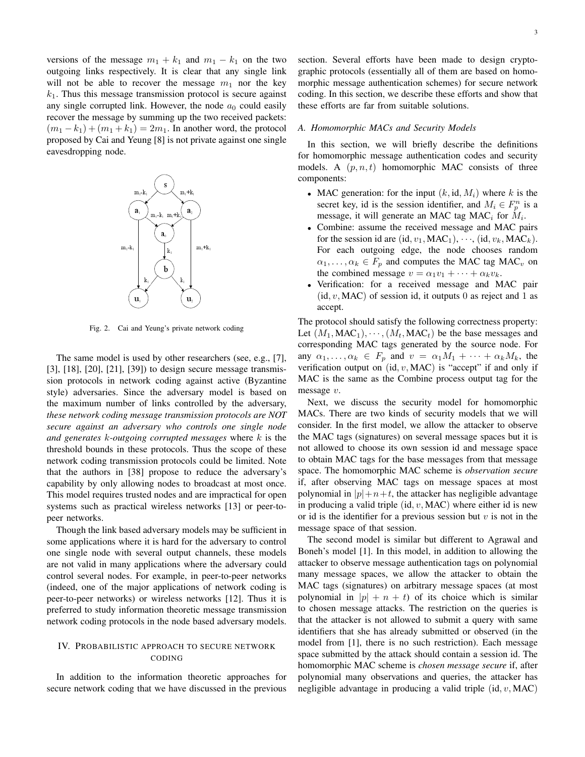versions of the message  $m_1 + k_1$  and  $m_1 - k_1$  on the two outgoing links respectively. It is clear that any single link will not be able to recover the message  $m_1$  nor the key  $k<sub>1</sub>$ . Thus this message transmission protocol is secure against any single corrupted link. However, the node  $a_0$  could easily recover the message by summing up the two received packets:  $(m_1 - k_1) + (m_1 + k_1) = 2m_1$ . In another word, the protocol proposed by Cai and Yeung [8] is not private against one single eavesdropping node.



Fig. 2. Cai and Yeung's private network coding

The same model is used by other researchers (see, e.g., [7], [3], [18], [20], [21], [39]) to design secure message transmission protocols in network coding against active (Byzantine style) adversaries. Since the adversary model is based on the maximum number of links controlled by the adversary, *these network coding message transmission protocols are NOT secure against an adversary who controls one single node and generates* k*-outgoing corrupted messages* where k is the threshold bounds in these protocols. Thus the scope of these network coding transmission protocols could be limited. Note that the authors in [38] propose to reduce the adversary's capability by only allowing nodes to broadcast at most once. This model requires trusted nodes and are impractical for open systems such as practical wireless networks [13] or peer-topeer networks.

Though the link based adversary models may be sufficient in some applications where it is hard for the adversary to control one single node with several output channels, these models are not valid in many applications where the adversary could control several nodes. For example, in peer-to-peer networks (indeed, one of the major applications of network coding is peer-to-peer networks) or wireless networks [12]. Thus it is preferred to study information theoretic message transmission network coding protocols in the node based adversary models.

# IV. PROBABILISTIC APPROACH TO SECURE NETWORK CODING

In addition to the information theoretic approaches for secure network coding that we have discussed in the previous section. Several efforts have been made to design cryptographic protocols (essentially all of them are based on homomorphic message authentication schemes) for secure network coding. In this section, we describe these efforts and show that these efforts are far from suitable solutions.

#### *A. Homomorphic MACs and Security Models*

In this section, we will briefly describe the definitions for homomorphic message authentication codes and security models. A  $(p, n, t)$  homomorphic MAC consists of three components:

- MAC generation: for the input  $(k, id, M_i)$  where k is the secret key, id is the session identifier, and  $M_i \in F_p^n$  is a message, it will generate an MAC tag MAC<sub>i</sub> for  $M_i$ .
- Combine: assume the received message and MAC pairs for the session id are (id,  $v_1$ , MAC<sub>1</sub>),  $\cdots$ , (id,  $v_k$ , MAC<sub>k</sub>). For each outgoing edge, the node chooses random  $\alpha_1, \ldots, \alpha_k \in F_p$  and computes the MAC tag MAC<sub>v</sub> on the combined message  $v = \alpha_1 v_1 + \cdots + \alpha_k v_k$ .
- Verification: for a received message and MAC pair  $(id, v, MAC)$  of session id, it outputs 0 as reject and 1 as accept.

The protocol should satisfy the following correctness property: Let  $(M_1, MAC_1), \cdots, (M_t, MAC_t)$  be the base messages and corresponding MAC tags generated by the source node. For any  $\alpha_1, \ldots, \alpha_k \in F_p$  and  $v = \alpha_1 M_1 + \cdots + \alpha_k M_k$ , the verification output on  $(id, v, MAC)$  is "accept" if and only if MAC is the same as the Combine process output tag for the message v.

Next, we discuss the security model for homomorphic MACs. There are two kinds of security models that we will consider. In the first model, we allow the attacker to observe the MAC tags (signatures) on several message spaces but it is not allowed to choose its own session id and message space to obtain MAC tags for the base messages from that message space. The homomorphic MAC scheme is *observation secure* if, after observing MAC tags on message spaces at most polynomial in  $|p|+n+t$ , the attacker has negligible advantage in producing a valid triple  $(id, v, MAC)$  where either id is new or id is the identifier for a previous session but  $v$  is not in the message space of that session.

The second model is similar but different to Agrawal and Boneh's model [1]. In this model, in addition to allowing the attacker to observe message authentication tags on polynomial many message spaces, we allow the attacker to obtain the MAC tags (signatures) on arbitrary message spaces (at most polynomial in  $|p| + n + t$  of its choice which is similar to chosen message attacks. The restriction on the queries is that the attacker is not allowed to submit a query with same identifiers that she has already submitted or observed (in the model from [1], there is no such restriction). Each message space submitted by the attack should contain a session id. The homomorphic MAC scheme is *chosen message secure* if, after polynomial many observations and queries, the attacker has negligible advantage in producing a valid triple  $(id, v, MAC)$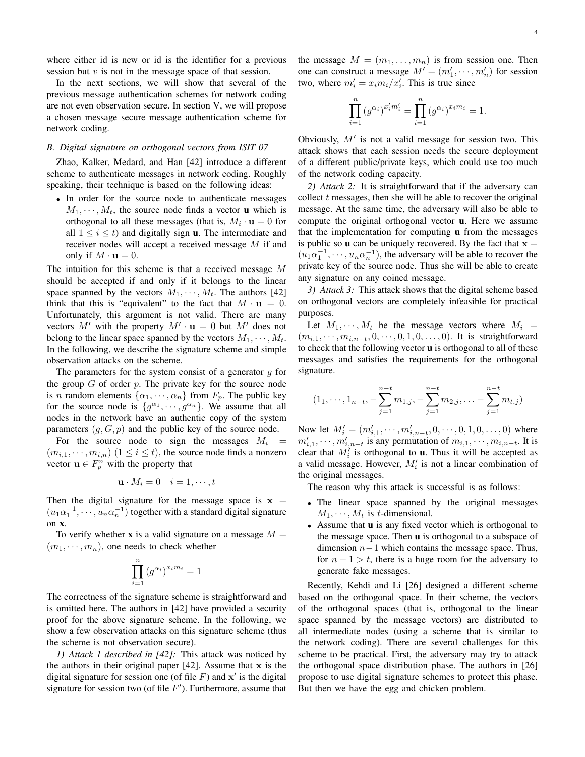where either id is new or id is the identifier for a previous session but  $v$  is not in the message space of that session.

In the next sections, we will show that several of the previous message authentication schemes for network coding are not even observation secure. In section V, we will propose a chosen message secure message authentication scheme for network coding.

## *B. Digital signature on orthogonal vectors from ISIT 07*

Zhao, Kalker, Medard, and Han [42] introduce a different scheme to authenticate messages in network coding. Roughly speaking, their technique is based on the following ideas:

• In order for the source node to authenticate messages  $M_1, \dots, M_t$ , the source node finds a vector **u** which is orthogonal to all these messages (that is,  $M_i \cdot \mathbf{u} = 0$  for all  $1 \leq i \leq t$ ) and digitally sign **u**. The intermediate and receiver nodes will accept a received message M if and only if  $M \cdot \mathbf{u} = 0$ .

The intuition for this scheme is that a received message M should be accepted if and only if it belongs to the linear space spanned by the vectors  $M_1, \dots, M_t$ . The authors [42] think that this is "equivalent" to the fact that  $M \cdot \mathbf{u} = 0$ . Unfortunately, this argument is not valid. There are many vectors M' with the property  $M' \cdot \mathbf{u} = 0$  but M' does not belong to the linear space spanned by the vectors  $M_1, \dots, M_t$ . In the following, we describe the signature scheme and simple observation attacks on the scheme.

The parameters for the system consist of a generator  $g$  for the group  $G$  of order  $p$ . The private key for the source node is *n* random elements  $\{\alpha_1, \dots, \alpha_n\}$  from  $F_p$ . The public key for the source node is  $\{g^{\alpha_1}, \dots, g^{\alpha_n}\}\$ . We assume that all nodes in the network have an authentic copy of the system parameters  $(g, G, p)$  and the public key of the source node.

For the source node to sign the messages  $M_i$  =  $(m_{i,1}, \dots, m_{i,n})$   $(1 \leq i \leq t)$ , the source node finds a nonzero vector  $\mathbf{u} \in F_p^n$  with the property that

$$
\mathbf{u} \cdot M_i = 0 \quad i = 1, \cdots, t
$$

Then the digital signature for the message space is  $x =$  $(u_1\alpha_1^{-1}, \cdots, u_n\alpha_n^{-1})$  together with a standard digital signature on x.

To verify whether **x** is a valid signature on a message  $M =$  $(m_1, \dots, m_n)$ , one needs to check whether

$$
\prod_{i=1}^{n} (g^{\alpha_i})^{x_i m_i} = 1
$$

The correctness of the signature scheme is straightforward and is omitted here. The authors in [42] have provided a security proof for the above signature scheme. In the following, we show a few observation attacks on this signature scheme (thus the scheme is not observation secure).

*1) Attack 1 described in [42]:* This attack was noticed by the authors in their original paper  $[42]$ . Assume that x is the digital signature for session one (of file  $F$ ) and  $x'$  is the digital signature for session two (of file  $F'$ ). Furthermore, assume that the message  $M = (m_1, \ldots, m_n)$  is from session one. Then one can construct a message  $M' = (m'_1, \dots, m'_n)$  for session two, where  $m'_i = x_i m_i / x'_i$ . This is true since

$$
\prod_{i=1}^{n} (g^{\alpha_i})^{x'_i m'_i} = \prod_{i=1}^{n} (g^{\alpha_i})^{x_i m_i} = 1.
$$

Obviously,  $M'$  is not a valid message for session two. This attack shows that each session needs the secure deployment of a different public/private keys, which could use too much of the network coding capacity.

*2) Attack 2:* It is straightforward that if the adversary can collect  $t$  messages, then she will be able to recover the original message. At the same time, the adversary will also be able to compute the original orthogonal vector u. Here we assume that the implementation for computing **u** from the messages is public so **u** can be uniquely recovered. By the fact that  $x =$  $(u_1\alpha_1^{-1}, \dots, u_n\alpha_n^{-1})$ , the adversary will be able to recover the private key of the source node. Thus she will be able to create any signature on any coined message.

*3) Attack 3:* This attack shows that the digital scheme based on orthogonal vectors are completely infeasible for practical purposes.

Let  $M_1, \dots, M_t$  be the message vectors where  $M_i$  =  $(m_{i,1}, \dots, m_{i,n-t}, 0, \dots, 0, 1, 0, \dots, 0)$ . It is straightforward to check that the following vector u is orthogonal to all of these messages and satisfies the requirements for the orthogonal signature.

$$
(1_1, \cdots, 1_{n-t}, -\sum_{j=1}^{n-t} m_{1,j}, -\sum_{j=1}^{n-t} m_{2,j}, \dots -\sum_{j=1}^{n-t} m_{t,j})
$$

Now let  $M'_i = (m'_{i,1}, \dots, m'_{i,n-t}, 0, \dots, 0, 1, 0, \dots, 0)$  where  $m'_{i,1}, \dots, m'_{i,n-t}$  is any permutation of  $m_{i,1}, \dots, m_{i,n-t}$ . It is clear that  $M_i'$  is orthogonal to **u**. Thus it will be accepted as a valid message. However,  $M_i'$  is not a linear combination of the original messages.

The reason why this attack is successful is as follows:

- The linear space spanned by the original messages  $M_1, \cdots, M_t$  is t-dimensional.
- Assume that **u** is any fixed vector which is orthogonal to the message space. Then u is orthogonal to a subspace of dimension  $n-1$  which contains the message space. Thus, for  $n - 1 > t$ , there is a huge room for the adversary to generate fake messages.

Recently, Kehdi and Li [26] designed a different scheme based on the orthogonal space. In their scheme, the vectors of the orthogonal spaces (that is, orthogonal to the linear space spanned by the message vectors) are distributed to all intermediate nodes (using a scheme that is similar to the network coding). There are several challenges for this scheme to be practical. First, the adversary may try to attack the orthogonal space distribution phase. The authors in [26] propose to use digital signature schemes to protect this phase. But then we have the egg and chicken problem.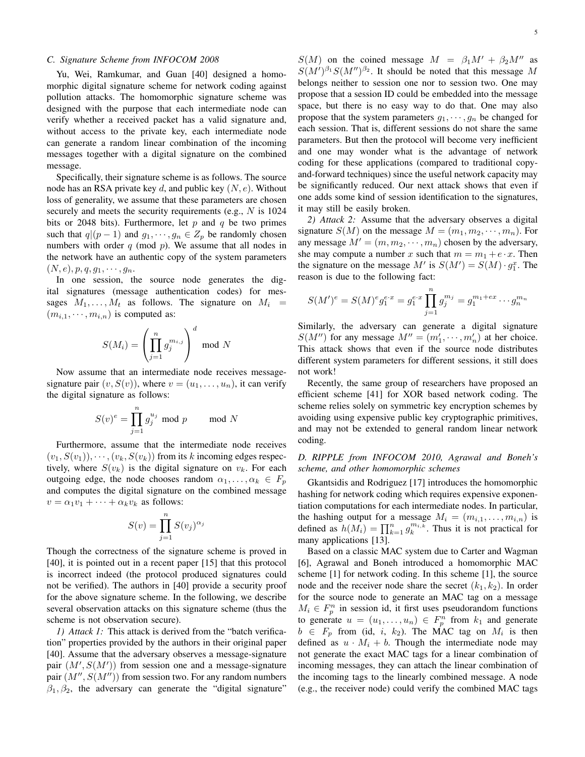#### *C. Signature Scheme from INFOCOM 2008*

Yu, Wei, Ramkumar, and Guan [40] designed a homomorphic digital signature scheme for network coding against pollution attacks. The homomorphic signature scheme was designed with the purpose that each intermediate node can verify whether a received packet has a valid signature and, without access to the private key, each intermediate node can generate a random linear combination of the incoming messages together with a digital signature on the combined message.

Specifically, their signature scheme is as follows. The source node has an RSA private key  $d$ , and public key  $(N, e)$ . Without loss of generality, we assume that these parameters are chosen securely and meets the security requirements (e.g., N is 1024) bits or 2048 bits). Furthermore, let  $p$  and  $q$  be two primes such that  $q|(p-1)$  and  $g_1, \dots, g_n \in Z_p$  be randomly chosen numbers with order  $q \pmod{p}$ . We assume that all nodes in the network have an authentic copy of the system parameters  $(N, e), p, q, g_1, \cdots, g_n.$ 

In one session, the source node generates the digital signatures (message authentication codes) for messages  $M_1, \ldots, M_t$  as follows. The signature on  $M_i$  =  $(m_{i,1}, \dots, m_{i,n})$  is computed as:

$$
S(M_i) = \left(\prod_{j=1}^n g_j^{m_{i,j}}\right)^d \mod N
$$

Now assume that an intermediate node receives messagesignature pair  $(v, S(v))$ , where  $v = (u_1, \ldots, u_n)$ , it can verify the digital signature as follows:

$$
S(v)^e = \prod_{j=1}^n g_j^{u_j} \text{ mod } p \quad \text{mod } N
$$

Furthermore, assume that the intermediate node receives  $(v_1, S(v_1)), \cdots, (v_k, S(v_k))$  from its k incoming edges respectively, where  $S(v_k)$  is the digital signature on  $v_k$ . For each outgoing edge, the node chooses random  $\alpha_1, \ldots, \alpha_k \in F_p$ and computes the digital signature on the combined message  $v = \alpha_1 v_1 + \cdots + \alpha_k v_k$  as follows:

$$
S(v) = \prod_{j=1}^{n} S(v_j)^{\alpha_j}
$$

Though the correctness of the signature scheme is proved in [40], it is pointed out in a recent paper [15] that this protocol is incorrect indeed (the protocol produced signatures could not be verified). The authors in [40] provide a security proof for the above signature scheme. In the following, we describe several observation attacks on this signature scheme (thus the scheme is not observation secure).

*1) Attack 1:* This attack is derived from the "batch verification" properties provided by the authors in their original paper [40]. Assume that the adversary observes a message-signature pair  $(M', S(M'))$  from session one and a message-signature pair  $(M'', S(M''))$  from session two. For any random numbers  $\beta_1, \beta_2$ , the adversary can generate the "digital signature"

 $S(M)$  on the coined message  $M = \beta_1 M' + \beta_2 M''$  as  $S(M')^{\beta_1}S(M'')^{\beta_2}$ . It should be noted that this message M belongs neither to session one nor to session two. One may propose that a session ID could be embedded into the message space, but there is no easy way to do that. One may also propose that the system parameters  $g_1, \dots, g_n$  be changed for each session. That is, different sessions do not share the same parameters. But then the protocol will become very inefficient and one may wonder what is the advantage of network coding for these applications (compared to traditional copyand-forward techniques) since the useful network capacity may be significantly reduced. Our next attack shows that even if one adds some kind of session identification to the signatures, it may still be easily broken.

*2) Attack 2:* Assume that the adversary observes a digital signature  $S(M)$  on the message  $M = (m_1, m_2, \dots, m_n)$ . For any message  $M' = (m, m_2, \dots, m_n)$  chosen by the adversary, she may compute a number x such that  $m = m_1 + e \cdot x$ . Then the signature on the message M' is  $S(M') = S(M) \cdot g_1^x$ . The reason is due to the following fact:

$$
S(M')^{e} = S(M)^{e} g_1^{e \cdot x} = g_1^{e \cdot x} \prod_{j=1}^{n} g_j^{m_j} = g_1^{m_1 + ex} \cdots g_n^{m_n}
$$

Similarly, the adversary can generate a digital signature  $S(M'')$  for any message  $M'' = (m'_1, \dots, m'_n)$  at her choice. This attack shows that even if the source node distributes different system parameters for different sessions, it still does not work!

Recently, the same group of researchers have proposed an efficient scheme [41] for XOR based network coding. The scheme relies solely on symmetric key encryption schemes by avoiding using expensive public key cryptographic primitives, and may not be extended to general random linear network coding.

# *D. RIPPLE from INFOCOM 2010, Agrawal and Boneh's scheme, and other homomorphic schemes*

Gkantsidis and Rodriguez [17] introduces the homomorphic hashing for network coding which requires expensive exponentiation computations for each intermediate nodes. In particular, the hashing output for a message  $M_i = (m_{i,1}, \ldots, m_{i,n})$  is defined as  $h(M_i) = \prod_{k=1}^n g_k^{m_{i,k}}$ . Thus it is not practical for many applications [13].

Based on a classic MAC system due to Carter and Wagman [6], Agrawal and Boneh introduced a homomorphic MAC scheme [1] for network coding. In this scheme [1], the source node and the receiver node share the secret  $(k_1, k_2)$ . In order for the source node to generate an MAC tag on a message  $M_i \in F_p^n$  in session id, it first uses pseudorandom functions to generate  $u = (u_1, \dots, u_n) \in F_p^n$  from  $k_1$  and generate  $b \in F_p$  from (id, i, k<sub>2</sub>). The MAC tag on  $M_i$  is then defined as  $u \cdot M_i + b$ . Though the intermediate node may not generate the exact MAC tags for a linear combination of incoming messages, they can attach the linear combination of the incoming tags to the linearly combined message. A node (e.g., the receiver node) could verify the combined MAC tags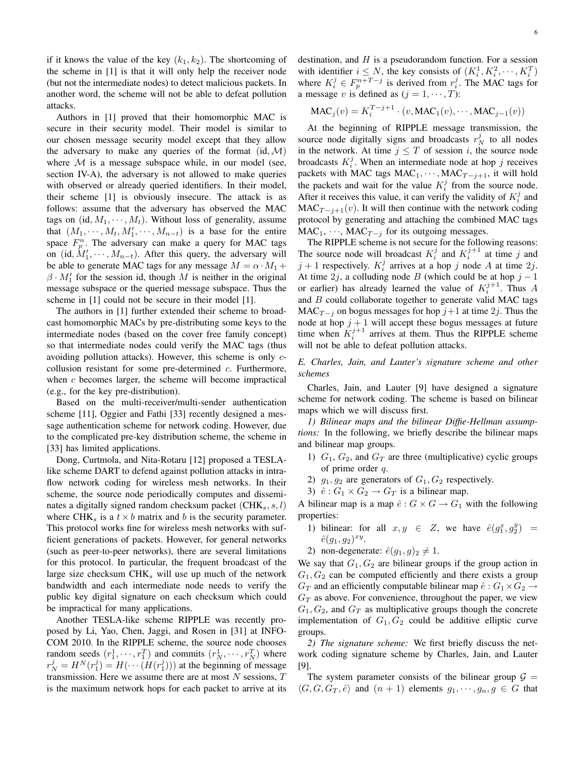if it knows the value of the key  $(k_1, k_2)$ . The shortcoming of the scheme in [1] is that it will only help the receiver node (but not the intermediate nodes) to detect malicious packets. In another word, the scheme will not be able to defeat pollution attacks.

Authors in [1] proved that their homomorphic MAC is secure in their security model. Their model is similar to our chosen message security model except that they allow the adversary to make any queries of the format  $(id, \mathcal{M})$ where  $M$  is a message subspace while, in our model (see, section IV-A), the adversary is not allowed to make queries with observed or already queried identifiers. In their model, their scheme [1] is obviously insecure. The attack is as follows: assume that the adversary has observed the MAC tags on  $(id, M_1, \dots, M_t)$ . Without loss of generality, assume that  $(M_1, \dots, M_t, M'_1, \dots, M_{n-t})$  is a base for the entire space  $F_p^n$ . The adversary can make a query for MAC tags on (id,  $M'_1, \dots, M_{n-t}$ ). After this query, the adversary will be able to generate MAC tags for any message  $M = \alpha \cdot M_1 +$  $\beta \cdot M'_1$  for the session id, though M is neither in the original message subspace or the queried message subspace. Thus the scheme in [1] could not be secure in their model [1].

The authors in [1] further extended their scheme to broadcast homomorphic MACs by pre-distributing some keys to the intermediate nodes (based on the cover free family concept) so that intermediate nodes could verify the MAC tags (thus avoiding pollution attacks). However, this scheme is only ccollusion resistant for some pre-determined  $c$ . Furthermore, when  $c$  becomes larger, the scheme will become impractical (e.g., for the key pre-distribution).

Based on the multi-receiver/multi-sender authentication scheme [11], Oggier and Fathi [33] recently designed a message authentication scheme for network coding. However, due to the complicated pre-key distribution scheme, the scheme in [33] has limited applications.

Dong, Curtmola, and Nita-Rotaru [12] proposed a TESLAlike scheme DART to defend against pollution attacks in intraflow network coding for wireless mesh networks. In their scheme, the source node periodically computes and disseminates a digitally signed random checksum packet  $(CHK<sub>s</sub>, s, l)$ where CHK<sub>s</sub> is a  $t \times b$  matrix and b is the security parameter. This protocol works fine for wireless mesh networks with sufficient generations of packets. However, for general networks (such as peer-to-peer networks), there are several limitations for this protocol. In particular, the frequent broadcast of the large size checksum  $CHK<sub>s</sub>$  will use up much of the network bandwidth and each intermediate node needs to verify the public key digital signature on each checksum which could be impractical for many applications.

Another TESLA-like scheme RIPPLE was recently proposed by Li, Yao, Chen, Jaggi, and Rosen in [31] at INFO-COM 2010. In the RIPPLE scheme, the source node chooses random seeds  $(r_1^1, \dots, r_1^T)$  and commits  $(r_N^1, \dots, r_N^T)$  where  $r_N^j = H^N(r_1^j) = H(\cdots(H(r_1^j)))$  at the beginning of message transmission. Here we assume there are at most  $N$  sessions,  $T$ is the maximum network hops for each packet to arrive at its

destination, and  $H$  is a pseudorandom function. For a session with identifier  $i \leq N$ , the key consists of  $(K_i^1, K_i^2, \dots, K_i^T)$ where  $K_i^j \in F_p^{n+T-j}$  is derived from  $r_i^j$ . The MAC tags for a message v is defined as  $(j = 1, \dots, T)$ :

$$
\text{MAC}_j(v) = K_i^{T-j+1} \cdot (v, \text{MAC}_1(v), \cdots, \text{MAC}_{j-1}(v))
$$

At the beginning of RIPPLE message transmission, the source node digitally signs and broadcasts  $r_N^j$  to all nodes in the network. At time  $j \leq T$  of session i, the source node broadcasts  $K_i^j$ . When an intermediate node at hop j receives packets with MAC tags  $MAC_1, \cdots, MAC_{T-j+1}$ , it will hold the packets and wait for the value  $K_i^j$  from the source node. After it receives this value, it can verify the validity of  $K_i^j$  and  $MAC_{T-j+1}(v)$ . It will then continue with the network coding protocol by generating and attaching the combined MAC tags  $MAC<sub>1</sub>, ..., MAC<sub>T-i</sub>$  for its outgoing messages.

The RIPPLE scheme is not secure for the following reasons: The source node will broadcast  $K_i^j$  and  $K_i^{j+1}$  at time j and  $j + 1$  respectively.  $K_i^j$  arrives at a hop j node A at time 2j. At time 2j, a colluding node B (which could be at hop  $j - 1$ or earlier) has already learned the value of  $K_i^{j+1}$ . Thus A and  $B$  could collaborate together to generate valid MAC tags MAC $T_{i}$  on bogus messages for hop  $j+1$  at time  $2j$ . Thus the node at hop  $j + 1$  will accept these bogus messages at future time when  $K_i^{j+1}$  arrives at them. Thus the RIPPLE scheme will not be able to defeat pollution attacks.

# *E. Charles, Jain, and Lauter's signature scheme and other schemes*

Charles, Jain, and Lauter [9] have designed a signature scheme for network coding. The scheme is based on bilinear maps which we will discuss first.

*1) Bilinear maps and the bilinear Diffie-Hellman assumptions:* In the following, we briefly describe the bilinear maps and bilinear map groups.

- 1)  $G_1$ ,  $G_2$ , and  $G_T$  are three (multiplicative) cyclic groups of prime order q.
- 2)  $g_1, g_2$  are generators of  $G_1, G_2$  respectively.
- 3)  $\hat{e}: G_1 \times G_2 \rightarrow G_T$  is a bilinear map.

A bilinear map is a map  $\hat{e}: G \times G \to G_1$  with the following properties:

- 1) bilinear: for all  $x, y \in Z$ , we have  $\hat{e}(g_1^x, g_2^y) =$  $\hat{e}(g_1, g_2)^{xy}$ .
- 2) non-degenerate:  $\hat{e}(g_1, g)_2 \neq 1$ .

We say that  $G_1, G_2$  are bilinear groups if the group action in  $G_1, G_2$  can be computed efficiently and there exists a group  $G_T$  and an efficiently computable bilinear map  $\hat{e}: G_1 \times G_2 \rightarrow$  $G_T$  as above. For convenience, throughout the paper, we view  $G_1, G_2$ , and  $G_T$  as multiplicative groups though the concrete implementation of  $G_1, G_2$  could be additive elliptic curve groups.

*2) The signature scheme:* We first briefly discuss the network coding signature scheme by Charles, Jain, and Lauter [9].

The system parameter consists of the bilinear group  $G =$  $\langle G, G, G_T , \hat{e} \rangle$  and  $(n + 1)$  elements  $g_1, \dots, g_n, g \in G$  that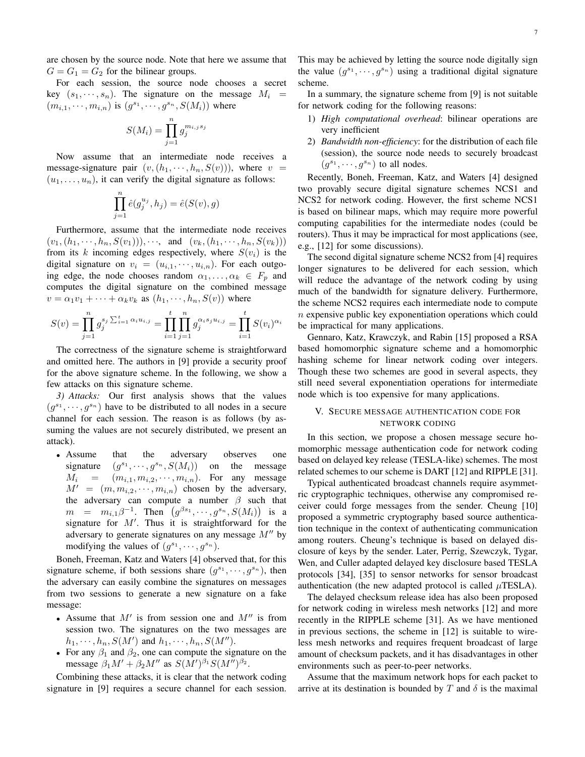are chosen by the source node. Note that here we assume that  $G = G_1 = G_2$  for the bilinear groups.

For each session, the source node chooses a secret key  $(s_1, \dots, s_n)$ . The signature on the message  $M_i$  =  $(m_{i,1},\dots,m_{i,n})$  is  $(g^{s_1},\dots,g^{s_n},S(M_i))$  where

$$
S(M_i) = \prod_{j=1}^{n} g_j^{m_{i,j}s_j}
$$

Now assume that an intermediate node receives a message-signature pair  $(v,(h_1,\dots,h_n,S(v)))$ , where v  $(u_1, \ldots, u_n)$ , it can verify the digital signature as follows:

$$
\prod_{j=1}^{n} \hat{e}(g_j^{u_j}, h_j) = \hat{e}(S(v), g)
$$

Furthermore, assume that the intermediate node receives  $(v_1,(h_1,\dots,h_n,S(v_1))),\dots$ , and  $(v_k,(h_1,\dots,h_n,S(v_k)))$ from its k incoming edges respectively, where  $S(v_i)$  is the digital signature on  $v_i = (u_{i,1}, \dots, u_{i,n})$ . For each outgoing edge, the node chooses random  $\alpha_1, \ldots, \alpha_k \in F_p$  and computes the digital signature on the combined message  $v = \alpha_1 v_1 + \cdots + \alpha_k v_k$  as  $(h_1, \dots, h_n, S(v))$  where

$$
S(v) = \prod_{j=1}^{n} g_j^{s_j \sum_{i=1}^{t} \alpha_i u_{i,j}} = \prod_{i=1}^{t} \prod_{j=1}^{n} g_j^{\alpha_i s_j u_{i,j}} = \prod_{i=1}^{t} S(v_i)^{\alpha_i}
$$

The correctness of the signature scheme is straightforward and omitted here. The authors in [9] provide a security proof for the above signature scheme. In the following, we show a few attacks on this signature scheme.

*3) Attacks:* Our first analysis shows that the values  $(g^{s_1}, \dots, g^{s_n})$  have to be distributed to all nodes in a secure channel for each session. The reason is as follows (by assuming the values are not securely distributed, we present an attack).

• Assume that the adversary observes one signature  $s_1, \dots, g^{s_n}, S(M_i)$  on the message  $M_i = (m_{i,1}, m_{i,2}, \cdots, m_{i,n}).$  For any message  $M' = (m, m_{i,2}, \dots, m_{i,n})$  chosen by the adversary, the adversary can compute a number  $\beta$  such that  $m = m_{i,1}\beta^{-1}$ . Then  $(g^{\beta s_1}, \dots, g^{s_n}, S(M_i))$  is a signature for  $M'$ . Thus it is straightforward for the adversary to generate signatures on any message  $M''$  by modifying the values of  $(g^{s_1}, \dots, g^{s_n}).$ 

Boneh, Freeman, Katz and Waters [4] observed that, for this signature scheme, if both sessions share  $(g^{s_1}, \dots, g^{s_n})$ , then the adversary can easily combine the signatures on messages from two sessions to generate a new signature on a fake message:

- Assume that  $M'$  is from session one and  $M''$  is from session two. The signatures on the two messages are  $h_1, \dots, h_n, S(M')$  and  $h_1, \dots, h_n, S(M'')$ .
- For any  $\beta_1$  and  $\beta_2$ , one can compute the signature on the message  $\beta_1 M' + \beta_2 M''$  as  $S(M')^{\beta_1} S(M'')^{\beta_2}$ .

Combining these attacks, it is clear that the network coding signature in [9] requires a secure channel for each session. This may be achieved by letting the source node digitally sign the value  $(g^{s_1}, \dots, g^{s_n})$  using a traditional digital signature scheme.

In a summary, the signature scheme from [9] is not suitable for network coding for the following reasons:

- 1) *High computational overhead*: bilinear operations are very inefficient
- 2) *Bandwidth non-efficiency*: for the distribution of each file (session), the source node needs to securely broadcast  $(g^{s_1}, \dots, g^{s_n})$  to all nodes.

Recently, Boneh, Freeman, Katz, and Waters [4] designed two provably secure digital signature schemes NCS1 and NCS2 for network coding. However, the first scheme NCS1 is based on bilinear maps, which may require more powerful computing capabilities for the intermediate nodes (could be routers). Thus it may be impractical for most applications (see, e.g., [12] for some discussions).

The second digital signature scheme NCS2 from [4] requires longer signatures to be delivered for each session, which will reduce the advantage of the network coding by using much of the bandwidth for signature delivery. Furthermore, the scheme NCS2 requires each intermediate node to compute  $n$  expensive public key exponentiation operations which could be impractical for many applications.

Gennaro, Katz, Krawczyk, and Rabin [15] proposed a RSA based homomorphic signature scheme and a homomorphic hashing scheme for linear network coding over integers. Though these two schemes are good in several aspects, they still need several exponentiation operations for intermediate node which is too expensive for many applications.

# V. SECURE MESSAGE AUTHENTICATION CODE FOR NETWORK CODING

In this section, we propose a chosen message secure homomorphic message authentication code for network coding based on delayed key release (TESLA-like) schemes. The most related schemes to our scheme is DART [12] and RIPPLE [31].

Typical authenticated broadcast channels require asymmetric cryptographic techniques, otherwise any compromised receiver could forge messages from the sender. Cheung [10] proposed a symmetric cryptography based source authentication technique in the context of authenticating communication among routers. Cheung's technique is based on delayed disclosure of keys by the sender. Later, Perrig, Szewczyk, Tygar, Wen, and Culler adapted delayed key disclosure based TESLA protocols [34], [35] to sensor networks for sensor broadcast authentication (the new adapted protocol is called  $\mu$ TESLA).

The delayed checksum release idea has also been proposed for network coding in wireless mesh networks [12] and more recently in the RIPPLE scheme [31]. As we have mentioned in previous sections, the scheme in [12] is suitable to wireless mesh networks and requires frequent broadcast of large amount of checksum packets, and it has disadvantages in other environments such as peer-to-peer networks.

Assume that the maximum network hops for each packet to arrive at its destination is bounded by T and  $\delta$  is the maximal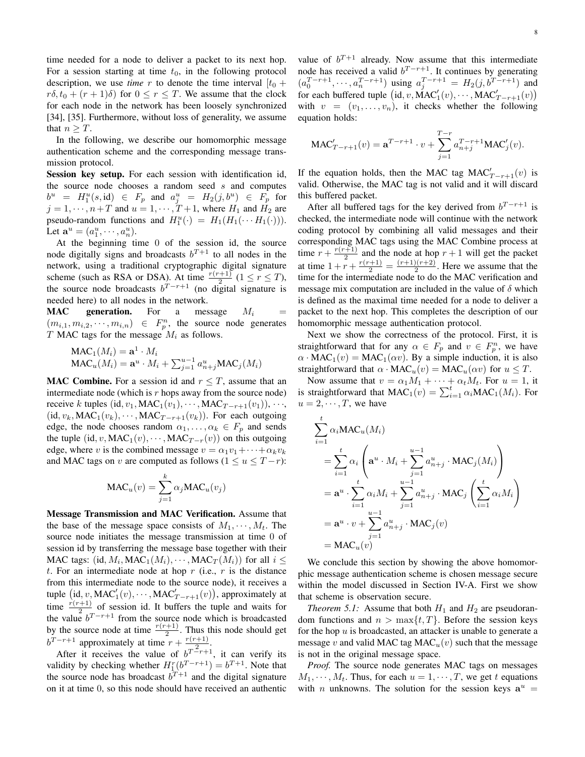time needed for a node to deliver a packet to its next hop. For a session starting at time  $t_0$ , in the following protocol description, we use *time* r to denote the time interval  $[t_0 +$  $r\delta, t_0 + (r+1)\delta)$  for  $0 \le r \le T$ . We assume that the clock for each node in the network has been loosely synchronized [34], [35]. Furthermore, without loss of generality, we assume that  $n \geq T$ .

In the following, we describe our homomorphic message authentication scheme and the corresponding message transmission protocol.

Session key setup. For each session with identification id, the source node chooses a random seed  $s$  and computes  $b^u = H_1^u(s, id) \in F_p$  and  $a_j^u = H_2(j, b^u) \in F_p$  for  $j = 1, \dots, n+T$  and  $u = 1, \dots, T+1$ , where  $H_1$  and  $H_2$  are pseudo-random functions and  $H_1^u(\cdot) = H_1(H_1(\cdots H_1(\cdot)))$ . Let  $\mathbf{a}^u = (a_1^u, \dots, a_n^u)$ .

At the beginning time 0 of the session id, the source node digitally signs and broadcasts  $b^{T+1}$  to all nodes in the network, using a traditional cryptographic digital signature scheme (such as RSA or DSA). At time  $\frac{r(r+1)}{2}$  ( $1 \le r \le T$ ), the source node broadcasts  $b^{T-r+1}$  (no digital signature is needed here) to all nodes in the network.

**MAC** generation. For a message  $M_i$  $(m_{i,1}, m_{i,2}, \dots, m_{i,n}) \in F_p^n$ , the source node generates T MAC tags for the message  $M_i$  as follows.

$$
\begin{aligned} \text{MAC}_1(M_i) &= \mathbf{a}^1 \cdot M_i \\ \text{MAC}_u(M_i) &= \mathbf{a}^u \cdot M_i + \sum_{j=1}^{u-1} a_{n+j}^u \text{MAC}_j(M_i) \end{aligned}
$$

**MAC Combine.** For a session id and  $r \leq T$ , assume that an intermediate node (which is  $r$  hops away from the source node) receive k tuples (id,  $v_1$ , MAC<sub>1</sub>( $v_1$ ), · · · , MAC<sub>T-r+1</sub>( $v_1$ )), · · ·, (id,  $v_k$ , MAC<sub>1</sub>( $v_k$ ),  $\cdots$ , MAC<sub>T-r+1</sub>( $v_k$ )). For each outgoing edge, the node chooses random  $\alpha_1, \ldots, \alpha_k \in F_p$  and sends the tuple (id, v, MAC<sub>1</sub>(v),  $\cdots$ , MAC<sub>T-r</sub>(v)) on this outgoing edge, where v is the combined message  $v = \alpha_1 v_1 + \cdots + \alpha_k v_k$ and MAC tags on v are computed as follows ( $1 \le u \le T - r$ ):

$$
\text{MAC}_{u}(v) = \sum_{j=1}^{k} \alpha_j \text{MAC}_{u}(v_j)
$$

Message Transmission and MAC Verification. Assume that the base of the message space consists of  $M_1, \dots, M_t$ . The source node initiates the message transmission at time 0 of session id by transferring the message base together with their MAC tags: (id,  $M_i$ , MAC<sub>1</sub>( $M_i$ ),  $\cdots$ , MAC<sub>T</sub>( $M_i$ )) for all  $i \leq$ t. For an intermediate node at hop  $r$  (i.e.,  $r$  is the distance from this intermediate node to the source node), it receives a tuple  $(id, v, MAC'_1(v), \cdots, MAC'_{T-r+1}(v)),$  approximately at time  $\frac{r(r+1)}{2}$  of session id. It buffers the tuple and waits for the value  $b^{T-r+1}$  from the source node which is broadcasted by the source node at time  $\frac{r(r+1)}{2}$ . Thus this node should get by the source node at time  $\frac{2}{2}$ . Thus  $b^{T-r+1}$  approximately at time  $r + \frac{r(r+1)}{2}$  $rac{+1)}{2}$ .

After it receives the value of  $b^{T-r+1}$ , it can verify its validity by checking whether  $H_1^r(b^{T-r+1}) = b^{T+1}$ . Note that the source node has broadcast  $b^{T+1}$  and the digital signature on it at time 0, so this node should have received an authentic value of  $b^{T+1}$  already. Now assume that this intermediate node has received a valid  $b^{T-r+1}$ . It continues by generating  $(a_0^{T-r+1}, \dots, a_n^{T-r+1})$  using  $a_j^{T-r+1} = H_2(j, b^{T-r+1})$  and for each buffered tuple  $(\mathrm{id}, v, \mathrm{MAC}_1'(v), \cdots, \mathrm{MAC}_{T-r+1}'(v))$ with  $v = (v_1, \ldots, v_n)$ , it checks whether the following equation holds:

$$
\text{MAC}'_{T-r+1}(v) = \mathbf{a}^{T-r+1} \cdot v + \sum_{j=1}^{T-r} a_{n+j}^{T-r+1} \text{MAC}'_j(v).
$$

If the equation holds, then the MAC tag MAC $'_{T-r+1}(v)$  is valid. Otherwise, the MAC tag is not valid and it will discard this buffered packet.

After all buffered tags for the key derived from  $b^{T-r+1}$  is checked, the intermediate node will continue with the network coding protocol by combining all valid messages and their corresponding MAC tags using the MAC Combine process at time  $r + \frac{r(r+1)}{2}$  $\frac{(-1)^{n+1}}{2}$  and the node at hop  $r+1$  will get the packet at time  $1 + r + \frac{r(r+1)}{2} = \frac{(r+1)(r+2)}{2}$  $\frac{2(n+2)}{2}$ . Here we assume that the time for the intermediate node to do the MAC verification and message mix computation are included in the value of  $\delta$  which is defined as the maximal time needed for a node to deliver a packet to the next hop. This completes the description of our homomorphic message authentication protocol.

Next we show the correctness of the protocol. First, it is straightforward that for any  $\alpha \in F_p$  and  $v \in F_p^n$ , we have  $\alpha \cdot MAC_1(v) = MAC_1(\alpha v)$ . By a simple induction, it is also straightforward that  $\alpha \cdot \text{MAC}_{u}(v) = \text{MAC}_{u}(\alpha v)$  for  $u \leq T$ .

Now assume that  $v = \alpha_1 M_1 + \cdots + \alpha_t M_t$ . For  $u = 1$ , it is straightforward that  $MAC_1(v) = \sum_{i=1}^{t} \alpha_i MAC_1(M_i)$ . For  $u = 2, \dots, T$ , we have

$$
\sum_{i=1}^{t} \alpha_i \text{MAC}_u(M_i)
$$
\n
$$
= \sum_{i=1}^{t} \alpha_i \left( \mathbf{a}^u \cdot M_i + \sum_{j=1}^{u-1} a_{n+j}^u \cdot \text{MAC}_j(M_i) \right)
$$
\n
$$
= \mathbf{a}^u \cdot \sum_{i=1}^{t} \alpha_i M_i + \sum_{j=1}^{u-1} a_{n+j}^u \cdot \text{MAC}_j \left( \sum_{i=1}^{t} \alpha_i M_i \right)
$$
\n
$$
= \mathbf{a}^u \cdot v + \sum_{j=1}^{u-1} a_{n+j}^u \cdot \text{MAC}_j(v)
$$
\n
$$
= \text{MAC}_u(v)
$$

We conclude this section by showing the above homomorphic message authentication scheme is chosen message secure within the model discussed in Section IV-A. First we show that scheme is observation secure.

*Theorem 5.1:* Assume that both  $H_1$  and  $H_2$  are pseudorandom functions and  $n > \max\{t, T\}$ . Before the session keys for the hop  $u$  is broadcasted, an attacker is unable to generate a message v and valid MAC tag MAC<sub>u</sub> $(v)$  such that the message is not in the original message space.

*Proof.* The source node generates MAC tags on messages  $M_1, \dots, M_t$ . Thus, for each  $u = 1, \dots, T$ , we get t equations with *n* unknowns. The solution for the session keys  $a^u$  =